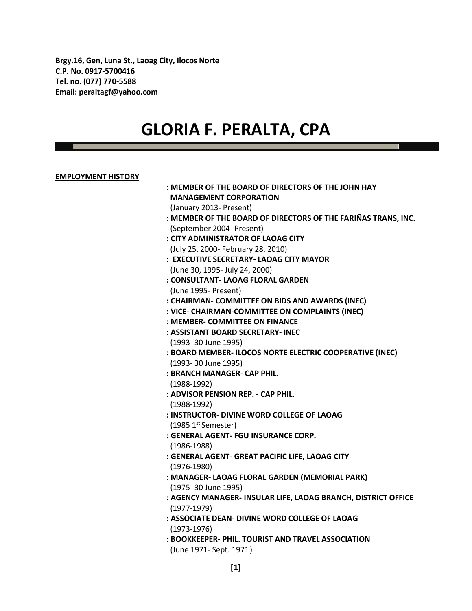**Brgy.16, Gen, Luna St., Laoag City, Ilocos Norte C.P. No. 0917-5700416 Tel. no. (077) 770-5588 Email: peraltagf@yahoo.com**

# **GLORIA F. PERALTA, CPA**

# **EMPLOYMENT HISTORY**

| : MEMBER OF THE BOARD OF DIRECTORS OF THE JOHN HAY            |
|---------------------------------------------------------------|
| <b>MANAGEMENT CORPORATION</b>                                 |
| (January 2013- Present)                                       |
| : MEMBER OF THE BOARD OF DIRECTORS OF THE FARIÑAS TRANS, INC. |
| (September 2004- Present)                                     |
| : CITY ADMINISTRATOR OF LAOAG CITY                            |
| (July 25, 2000- February 28, 2010)                            |
| : EXECUTIVE SECRETARY- LAOAG CITY MAYOR                       |
| (June 30, 1995- July 24, 2000)                                |
| : CONSULTANT- LAOAG FLORAL GARDEN                             |
| (June 1995- Present)                                          |
| : CHAIRMAN- COMMITTEE ON BIDS AND AWARDS (INEC)               |
| : VICE- CHAIRMAN-COMMITTEE ON COMPLAINTS (INEC)               |
| : MEMBER- COMMITTEE ON FINANCE                                |
| : ASSISTANT BOARD SECRETARY- INEC                             |
| (1993-30 June 1995)                                           |
| : BOARD MEMBER- ILOCOS NORTE ELECTRIC COOPERATIVE (INEC)      |
| (1993-30 June 1995)                                           |
| : BRANCH MANAGER- CAP PHIL.                                   |
| $(1988-1992)$                                                 |
| : ADVISOR PENSION REP. - CAP PHIL.                            |
| $(1988-1992)$                                                 |
| : INSTRUCTOR- DIVINE WORD COLLEGE OF LAOAG                    |
| (1985 1 <sup>st</sup> Semester)                               |
| : GENERAL AGENT- FGU INSURANCE CORP.                          |
| $(1986 - 1988)$                                               |
| : GENERAL AGENT- GREAT PACIFIC LIFE, LAOAG CITY               |
| $(1976-1980)$                                                 |
| : MANAGER- LAOAG FLORAL GARDEN (MEMORIAL PARK)                |
| (1975-30 June 1995)                                           |
| : AGENCY MANAGER- INSULAR LIFE, LAOAG BRANCH, DISTRICT OFFICE |
| $(1977-1979)$                                                 |
| : ASSOCIATE DEAN- DIVINE WORD COLLEGE OF LAOAG                |
| $(1973-1976)$                                                 |
| : BOOKKEEPER- PHIL. TOURIST AND TRAVEL ASSOCIATION            |
| (June 1971- Sept. 1971)                                       |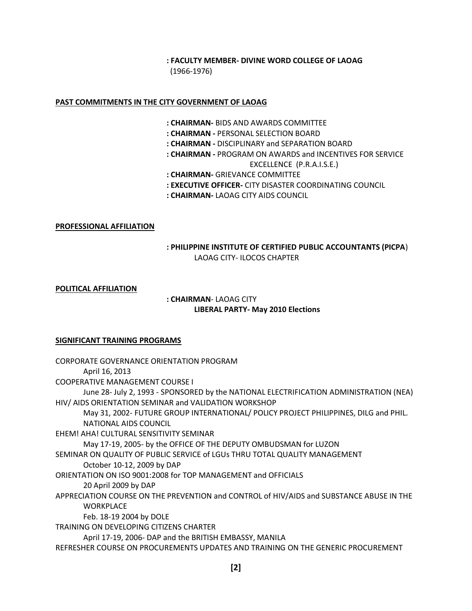**: FACULTY MEMBER- DIVINE WORD COLLEGE OF LAOAG** (1966-1976)

# **PAST COMMITMENTS IN THE CITY GOVERNMENT OF LAOAG**

- **: CHAIRMAN-** BIDS AND AWARDS COMMITTEE
- **: CHAIRMAN -** PERSONAL SELECTION BOARD
- **: CHAIRMAN -** DISCIPLINARY and SEPARATION BOARD
- **: CHAIRMAN -** PROGRAM ON AWARDS and INCENTIVES FOR SERVICE
	- EXCELLENCE (P.R.A.I.S.E.)
- **: CHAIRMAN-** GRIEVANCE COMMITTEE
- **: EXECUTIVE OFFICER-** CITY DISASTER COORDINATING COUNCIL
- **: CHAIRMAN-** LAOAG CITY AIDS COUNCIL

#### **PROFESSIONAL AFFILIATION**

# **: PHILIPPINE INSTITUTE OF CERTIFIED PUBLIC ACCOUNTANTS (PICPA**) LAOAG CITY- ILOCOS CHAPTER

#### **POLITICAL AFFILIATION**

# **: CHAIRMAN**- LAOAG CITY **LIBERAL PARTY- May 2010 Elections**

## **SIGNIFICANT TRAINING PROGRAMS**

| CORPORATE GOVERNANCE ORIENTATION PROGRAM<br>April 16, 2013                               |
|------------------------------------------------------------------------------------------|
| <b>COOPERATIVE MANAGEMENT COURSE I</b>                                                   |
| June 28- July 2, 1993 - SPONSORED by the NATIONAL ELECTRIFICATION ADMINISTRATION (NEA)   |
| HIV/ AIDS ORIENTATION SEMINAR and VALIDATION WORKSHOP                                    |
| May 31, 2002- FUTURE GROUP INTERNATIONAL/ POLICY PROJECT PHILIPPINES, DILG and PHIL.     |
| NATIONAL AIDS COUNCIL                                                                    |
| EHEM! AHA! CULTURAL SENSITIVITY SEMINAR                                                  |
| May 17-19, 2005- by the OFFICE OF THE DEPUTY OMBUDSMAN for LUZON                         |
| SEMINAR ON QUALITY OF PUBLIC SERVICE of LGUs THRU TOTAL QUALITY MANAGEMENT               |
| October 10-12, 2009 by DAP                                                               |
| ORIENTATION ON ISO 9001:2008 for TOP MANAGEMENT and OFFICIALS                            |
| 20 April 2009 by DAP                                                                     |
| APPRECIATION COURSE ON THE PREVENTION and CONTROL of HIV/AIDS and SUBSTANCE ABUSE IN THE |
| <b>WORKPLACE</b>                                                                         |
| Feb. 18-19 2004 by DOLE                                                                  |
| TRAINING ON DEVELOPING CITIZENS CHARTER                                                  |
| April 17-19, 2006- DAP and the BRITISH EMBASSY, MANILA                                   |
| REFRESHER COURSE ON PROCUREMENTS UPDATES AND TRAINING ON THE GENERIC PROCUREMENT         |